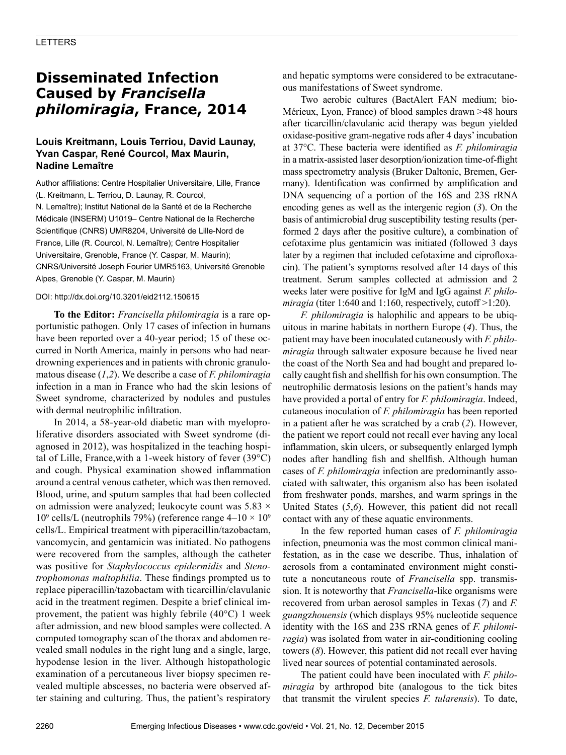# **Disseminated Infection Caused by** *Francisella philomiragia***, France, 2014**

## **Louis Kreitmann, Louis Terriou, David Launay, Yvan Caspar, René Courcol, Max Maurin, Nadine Lemaître**

Author affiliations: Centre Hospitalier Universitaire, Lille, France (L. Kreitmann, L. Terriou, D. Launay, R. Courcol, N. Lemaître); Institut National de la Santé et de la Recherche Médicale (INSERM) U1019– Centre National de la Recherche Scientifique (CNRS) UMR8204, Université de Lille-Nord de France, Lille (R. Courcol, N. Lemaître); Centre Hospitalier Universitaire, Grenoble, France (Y. Caspar, M. Maurin); CNRS/Université Joseph Fourier UMR5163, Université Grenoble Alpes, Grenoble (Y. Caspar, M. Maurin)

#### DOI: http://dx.doi.org/10.3201/eid2112.150615

**To the Editor:** *Francisella philomiragia* is a rare opportunistic pathogen. Only 17 cases of infection in humans have been reported over a 40-year period; 15 of these occurred in North America, mainly in persons who had neardrowning experiences and in patients with chronic granulomatous disease (*1*,*2*). We describe a case of *F. philomiragia* infection in a man in France who had the skin lesions of Sweet syndrome, characterized by nodules and pustules with dermal neutrophilic infiltration.

In 2014, a 58-year-old diabetic man with myeloproliferative disorders associated with Sweet syndrome (diagnosed in 2012), was hospitalized in the teaching hospital of Lille, France,with a 1-week history of fever (39°C) and cough. Physical examination showed inflammation around a central venous catheter, which was then removed. Blood, urine, and sputum samples that had been collected on admission were analyzed; leukocyte count was  $5.83 \times$ 10<sup>9</sup> cells/L (neutrophils 79%) (reference range  $4-10 \times 10^9$ cells/L. Empirical treatment with piperacillin/tazobactam, vancomycin, and gentamicin was initiated. No pathogens were recovered from the samples, although the catheter was positive for *Staphylococcus epidermidis* and *Stenotrophomonas maltophilia*. These findings prompted us to replace piperacillin/tazobactam with ticarcillin/clavulanic acid in the treatment regimen. Despite a brief clinical improvement, the patient was highly febrile (40°C) 1 week after admission, and new blood samples were collected. A computed tomography scan of the thorax and abdomen revealed small nodules in the right lung and a single, large, hypodense lesion in the liver. Although histopathologic examination of a percutaneous liver biopsy specimen revealed multiple abscesses, no bacteria were observed after staining and culturing. Thus, the patient's respiratory

and hepatic symptoms were considered to be extracutaneous manifestations of Sweet syndrome.

Two aerobic cultures (BactAlert FAN medium; bio-Mérieux, Lyon, France) of blood samples drawn >48 hours after ticarcillin/clavulanic acid therapy was begun yielded oxidase-positive gram-negative rods after 4 days' incubation at 37°C. These bacteria were identified as *F. philomiragia* in a matrix-assisted laser desorption/ionization time-of-flight mass spectrometry analysis (Bruker Daltonic, Bremen, Germany). Identification was confirmed by amplification and DNA sequencing of a portion of the 16S and 23S rRNA encoding genes as well as the intergenic region (*3*). On the basis of antimicrobial drug susceptibility testing results (performed 2 days after the positive culture), a combination of cefotaxime plus gentamicin was initiated (followed 3 days later by a regimen that included cefotaxime and ciprofloxacin). The patient's symptoms resolved after 14 days of this treatment. Serum samples collected at admission and 2 weeks later were positive for IgM and IgG against *F. philomiragia* (titer 1:640 and 1:160, respectively, cutoff  $>1:20$ ).

*F. philomiragia* is halophilic and appears to be ubiquitous in marine habitats in northern Europe (*4*). Thus, the patient may have been inoculated cutaneously with *F. philomiragia* through saltwater exposure because he lived near the coast of the North Sea and had bought and prepared locally caught fish and shellfish for his own consumption. The neutrophilic dermatosis lesions on the patient's hands may have provided a portal of entry for *F. philomiragia*. Indeed, cutaneous inoculation of *F. philomiragia* has been reported in a patient after he was scratched by a crab (*2*). However, the patient we report could not recall ever having any local inflammation, skin ulcers, or subsequently enlarged lymph nodes after handling fish and shellfish. Although human cases of *F. philomiragia* infection are predominantly associated with saltwater, this organism also has been isolated from freshwater ponds, marshes, and warm springs in the United States (*5*,*6*). However, this patient did not recall contact with any of these aquatic environments.

In the few reported human cases of *F. philomiragia* infection, pneumonia was the most common clinical manifestation, as in the case we describe. Thus, inhalation of aerosols from a contaminated environment might constitute a noncutaneous route of *Francisella* spp. transmission. It is noteworthy that *Francisella*-like organisms were recovered from urban aerosol samples in Texas (*7*) and *F. guang*z*houensis* (which displays 95% nucleotide sequence identity with the 16S and 23S rRNA genes of *F. philomiragia*) was isolated from water in air-conditioning cooling towers (*8*). However, this patient did not recall ever having lived near sources of potential contaminated aerosols.

The patient could have been inoculated with *F. philomiragia* by arthropod bite (analogous to the tick bites that transmit the virulent species *F. tularensis*). To date,